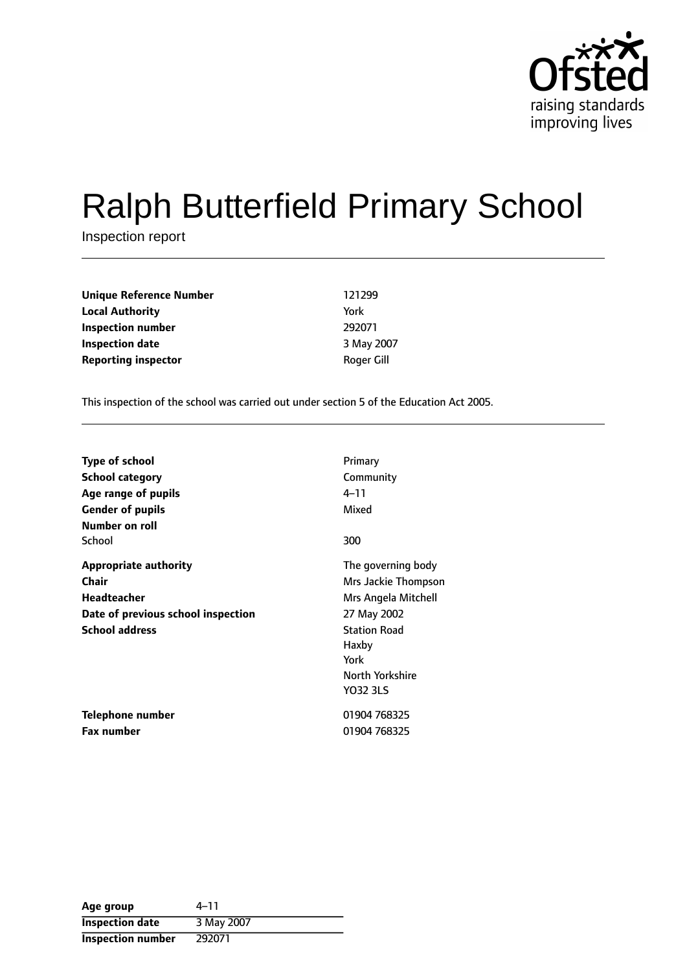

# Ralph Butterfield Primary School

Inspection report

| Unique Reference Number    | 121299     |
|----------------------------|------------|
| <b>Local Authority</b>     | York       |
| Inspection number          | 292071     |
| <b>Inspection date</b>     | 3 May 2007 |
| <b>Reporting inspector</b> | Roger Gill |

This inspection of the school was carried out under section 5 of the Education Act 2005.

| <b>Type of school</b>              | Primary             |
|------------------------------------|---------------------|
| <b>School category</b>             | Community           |
| Age range of pupils                | 4–11                |
| <b>Gender of pupils</b>            | Mixed               |
| Number on roll                     |                     |
| School                             | 300                 |
| <b>Appropriate authority</b>       | The governing body  |
| Chair                              | Mrs Jackie Thompson |
| Headteacher                        | Mrs Angela Mitchell |
| Date of previous school inspection | 27 May 2002         |
| <b>School address</b>              | <b>Station Road</b> |
|                                    | Haxby               |
|                                    | York                |
|                                    | North Yorkshire     |
|                                    | <b>YO32 3LS</b>     |
| Telephone number                   | 01904 768325        |
| <b>Fax number</b>                  | 01904 768325        |

| Age group                | $4 - 11$   |
|--------------------------|------------|
| <b>Inspection date</b>   | 3 May 2007 |
| <b>Inspection number</b> | 292071     |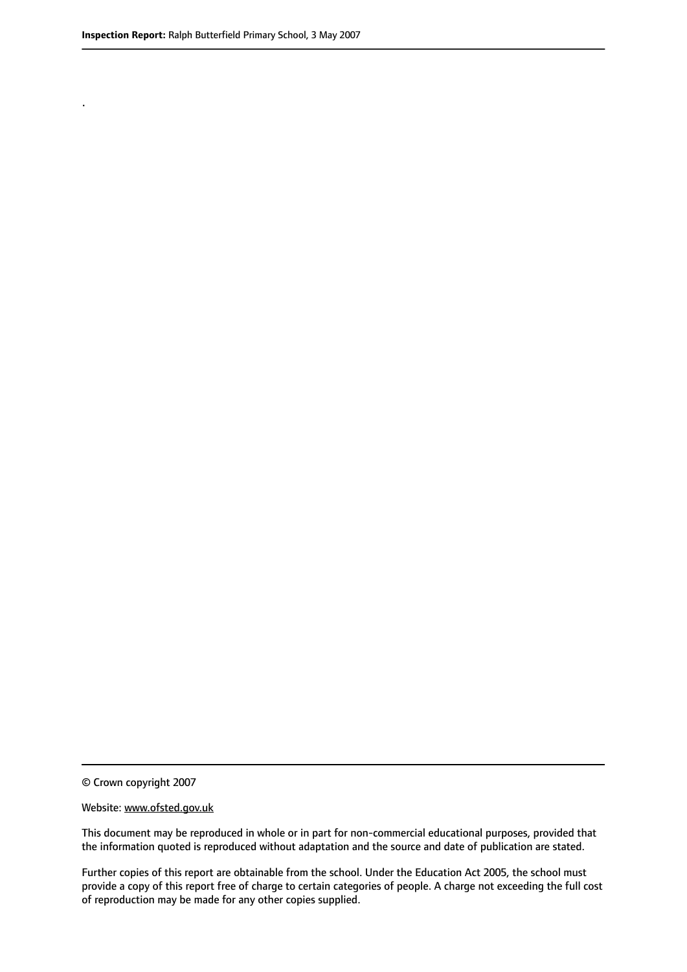.

© Crown copyright 2007

#### Website: www.ofsted.gov.uk

This document may be reproduced in whole or in part for non-commercial educational purposes, provided that the information quoted is reproduced without adaptation and the source and date of publication are stated.

Further copies of this report are obtainable from the school. Under the Education Act 2005, the school must provide a copy of this report free of charge to certain categories of people. A charge not exceeding the full cost of reproduction may be made for any other copies supplied.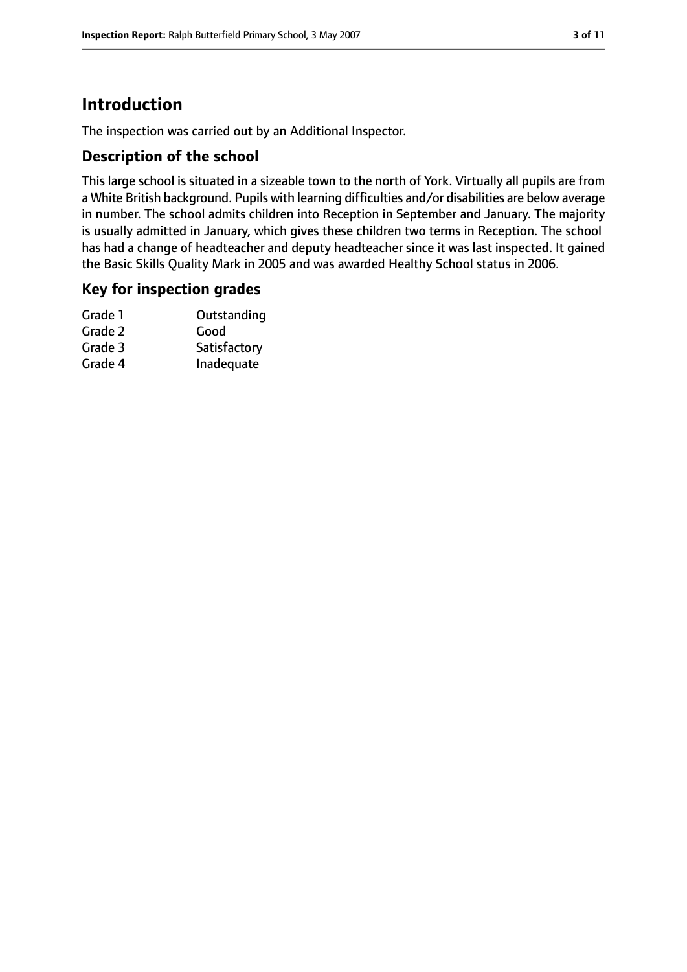# **Introduction**

The inspection was carried out by an Additional Inspector.

## **Description of the school**

This large school is situated in a sizeable town to the north of York. Virtually all pupils are from a White British background. Pupils with learning difficulties and/or disabilities are below average in number. The school admits children into Reception in September and January. The majority is usually admitted in January, which gives these children two terms in Reception. The school has had a change of headteacher and deputy headteacher since it was last inspected. It gained the Basic Skills Quality Mark in 2005 and was awarded Healthy School status in 2006.

#### **Key for inspection grades**

| Grade 1 | Outstanding  |
|---------|--------------|
| Grade 2 | Good         |
| Grade 3 | Satisfactory |
| Grade 4 | Inadequate   |
|         |              |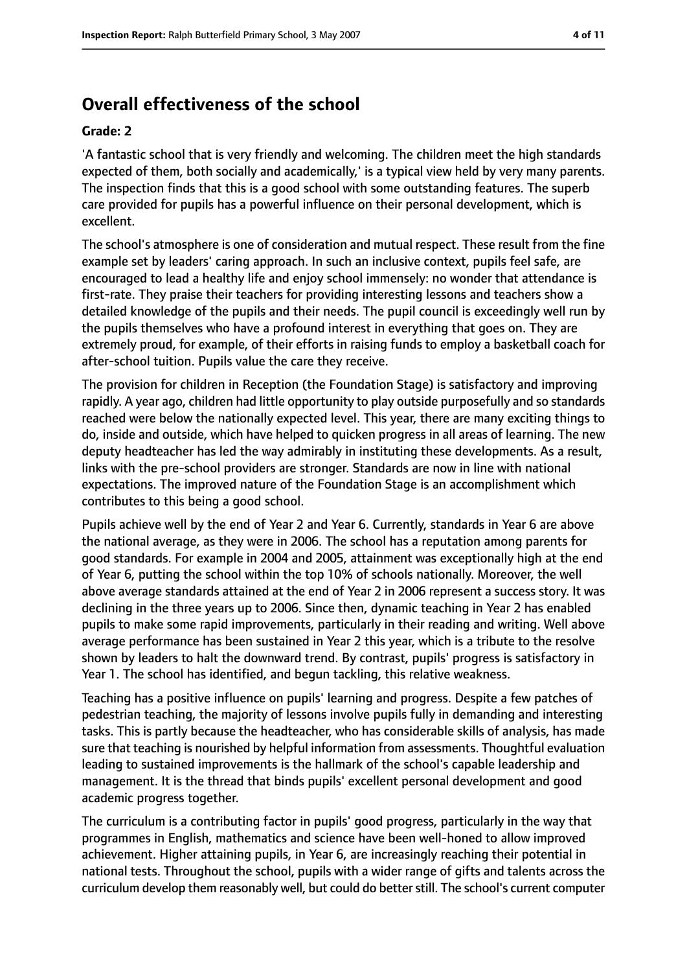# **Overall effectiveness of the school**

#### **Grade: 2**

'A fantastic school that is very friendly and welcoming. The children meet the high standards expected of them, both socially and academically,' is a typical view held by very many parents. The inspection finds that this is a good school with some outstanding features. The superb care provided for pupils has a powerful influence on their personal development, which is excellent.

The school's atmosphere is one of consideration and mutual respect. These result from the fine example set by leaders' caring approach. In such an inclusive context, pupils feel safe, are encouraged to lead a healthy life and enjoy school immensely: no wonder that attendance is first-rate. They praise their teachers for providing interesting lessons and teachers show a detailed knowledge of the pupils and their needs. The pupil council is exceedingly well run by the pupils themselves who have a profound interest in everything that goes on. They are extremely proud, for example, of their efforts in raising funds to employ a basketball coach for after-school tuition. Pupils value the care they receive.

The provision for children in Reception (the Foundation Stage) is satisfactory and improving rapidly. A year ago, children had little opportunity to play outside purposefully and so standards reached were below the nationally expected level. This year, there are many exciting things to do, inside and outside, which have helped to quicken progress in all areas of learning. The new deputy headteacher has led the way admirably in instituting these developments. As a result, links with the pre-school providers are stronger. Standards are now in line with national expectations. The improved nature of the Foundation Stage is an accomplishment which contributes to this being a good school.

Pupils achieve well by the end of Year 2 and Year 6. Currently, standards in Year 6 are above the national average, as they were in 2006. The school has a reputation among parents for good standards. For example in 2004 and 2005, attainment was exceptionally high at the end of Year 6, putting the school within the top 10% of schools nationally. Moreover, the well above average standards attained at the end of Year 2 in 2006 represent a success story. It was declining in the three years up to 2006. Since then, dynamic teaching in Year 2 has enabled pupils to make some rapid improvements, particularly in their reading and writing. Well above average performance has been sustained in Year 2 this year, which is a tribute to the resolve shown by leaders to halt the downward trend. By contrast, pupils' progress is satisfactory in Year 1. The school has identified, and begun tackling, this relative weakness.

Teaching has a positive influence on pupils' learning and progress. Despite a few patches of pedestrian teaching, the majority of lessons involve pupils fully in demanding and interesting tasks. This is partly because the headteacher, who has considerable skills of analysis, has made sure that teaching is nourished by helpful information from assessments. Thoughtful evaluation leading to sustained improvements is the hallmark of the school's capable leadership and management. It is the thread that binds pupils' excellent personal development and good academic progress together.

The curriculum is a contributing factor in pupils' good progress, particularly in the way that programmes in English, mathematics and science have been well-honed to allow improved achievement. Higher attaining pupils, in Year 6, are increasingly reaching their potential in national tests. Throughout the school, pupils with a wider range of gifts and talents across the curriculum develop them reasonably well, but could do betterstill. The school's current computer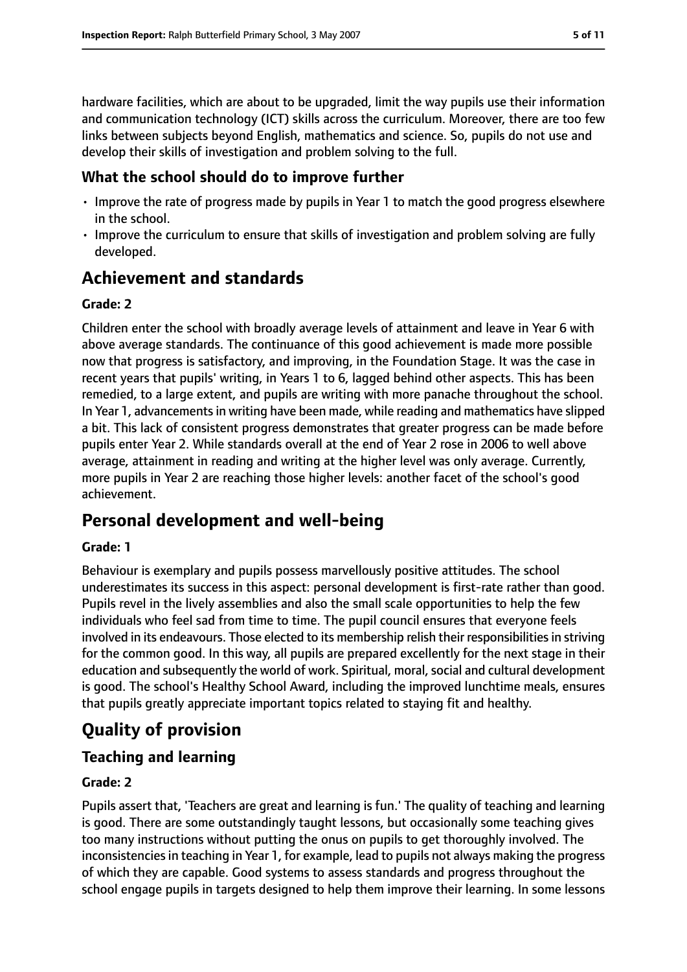hardware facilities, which are about to be upgraded, limit the way pupils use their information and communication technology (ICT) skills across the curriculum. Moreover, there are too few links between subjects beyond English, mathematics and science. So, pupils do not use and develop their skills of investigation and problem solving to the full.

## **What the school should do to improve further**

- Improve the rate of progress made by pupils in Year 1 to match the good progress elsewhere in the school.
- Improve the curriculum to ensure that skills of investigation and problem solving are fully developed.

# **Achievement and standards**

## **Grade: 2**

Children enter the school with broadly average levels of attainment and leave in Year 6 with above average standards. The continuance of this good achievement is made more possible now that progress is satisfactory, and improving, in the Foundation Stage. It was the case in recent years that pupils' writing, in Years 1 to 6, lagged behind other aspects. This has been remedied, to a large extent, and pupils are writing with more panache throughout the school. In Year 1, advancements in writing have been made, while reading and mathematics have slipped a bit. This lack of consistent progress demonstrates that greater progress can be made before pupils enter Year 2. While standards overall at the end of Year 2 rose in 2006 to well above average, attainment in reading and writing at the higher level was only average. Currently, more pupils in Year 2 are reaching those higher levels: another facet of the school's good achievement.

# **Personal development and well-being**

#### **Grade: 1**

Behaviour is exemplary and pupils possess marvellously positive attitudes. The school underestimates its success in this aspect: personal development is first-rate rather than good. Pupils revel in the lively assemblies and also the small scale opportunities to help the few individuals who feel sad from time to time. The pupil council ensures that everyone feels involved in its endeavours. Those elected to its membership relish their responsibilities in striving for the common good. In this way, all pupils are prepared excellently for the next stage in their education and subsequently the world of work. Spiritual, moral, social and cultural development is good. The school's Healthy School Award, including the improved lunchtime meals, ensures that pupils greatly appreciate important topics related to staying fit and healthy.

# **Quality of provision**

## **Teaching and learning**

## **Grade: 2**

Pupils assert that, 'Teachers are great and learning is fun.' The quality of teaching and learning is good. There are some outstandingly taught lessons, but occasionally some teaching gives too many instructions without putting the onus on pupils to get thoroughly involved. The inconsistencies in teaching in Year 1, for example, lead to pupils not always making the progress of which they are capable. Good systems to assess standards and progress throughout the school engage pupils in targets designed to help them improve their learning. In some lessons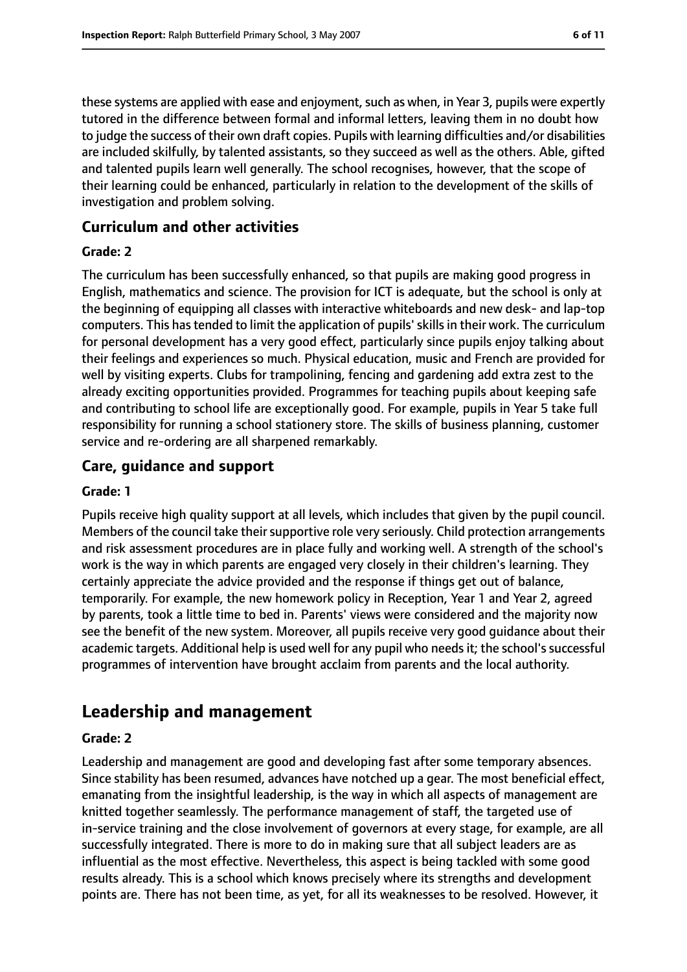these systems are applied with ease and enjoyment, such as when, in Year 3, pupils were expertly tutored in the difference between formal and informal letters, leaving them in no doubt how to judge the success of their own draft copies. Pupils with learning difficulties and/or disabilities are included skilfully, by talented assistants, so they succeed as well as the others. Able, gifted and talented pupils learn well generally. The school recognises, however, that the scope of their learning could be enhanced, particularly in relation to the development of the skills of investigation and problem solving.

#### **Curriculum and other activities**

#### **Grade: 2**

The curriculum has been successfully enhanced, so that pupils are making good progress in English, mathematics and science. The provision for ICT is adequate, but the school is only at the beginning of equipping all classes with interactive whiteboards and new desk- and lap-top computers. This has tended to limit the application of pupils' skills in their work. The curriculum for personal development has a very good effect, particularly since pupils enjoy talking about their feelings and experiences so much. Physical education, music and French are provided for well by visiting experts. Clubs for trampolining, fencing and gardening add extra zest to the already exciting opportunities provided. Programmes for teaching pupils about keeping safe and contributing to school life are exceptionally good. For example, pupils in Year 5 take full responsibility for running a school stationery store. The skills of business planning, customer service and re-ordering are all sharpened remarkably.

#### **Care, guidance and support**

#### **Grade: 1**

Pupils receive high quality support at all levels, which includes that given by the pupil council. Members of the council take their supportive role very seriously. Child protection arrangements and risk assessment procedures are in place fully and working well. A strength of the school's work is the way in which parents are engaged very closely in their children's learning. They certainly appreciate the advice provided and the response if things get out of balance, temporarily. For example, the new homework policy in Reception, Year 1 and Year 2, agreed by parents, took a little time to bed in. Parents' views were considered and the majority now see the benefit of the new system. Moreover, all pupils receive very good guidance about their academic targets. Additional help is used well for any pupil who needs it; the school's successful programmes of intervention have brought acclaim from parents and the local authority.

# **Leadership and management**

#### **Grade: 2**

Leadership and management are good and developing fast after some temporary absences. Since stability has been resumed, advances have notched up a gear. The most beneficial effect, emanating from the insightful leadership, is the way in which all aspects of management are knitted together seamlessly. The performance management of staff, the targeted use of in-service training and the close involvement of governors at every stage, for example, are all successfully integrated. There is more to do in making sure that all subject leaders are as influential as the most effective. Nevertheless, this aspect is being tackled with some good results already. This is a school which knows precisely where its strengths and development points are. There has not been time, as yet, for all its weaknesses to be resolved. However, it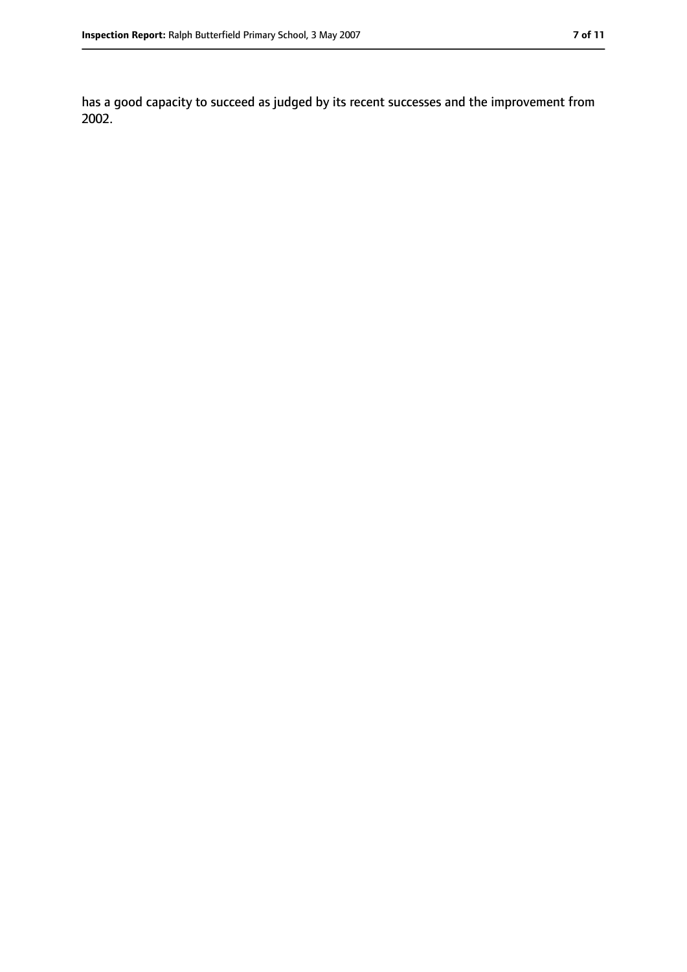has a good capacity to succeed as judged by its recent successes and the improvement from 2002.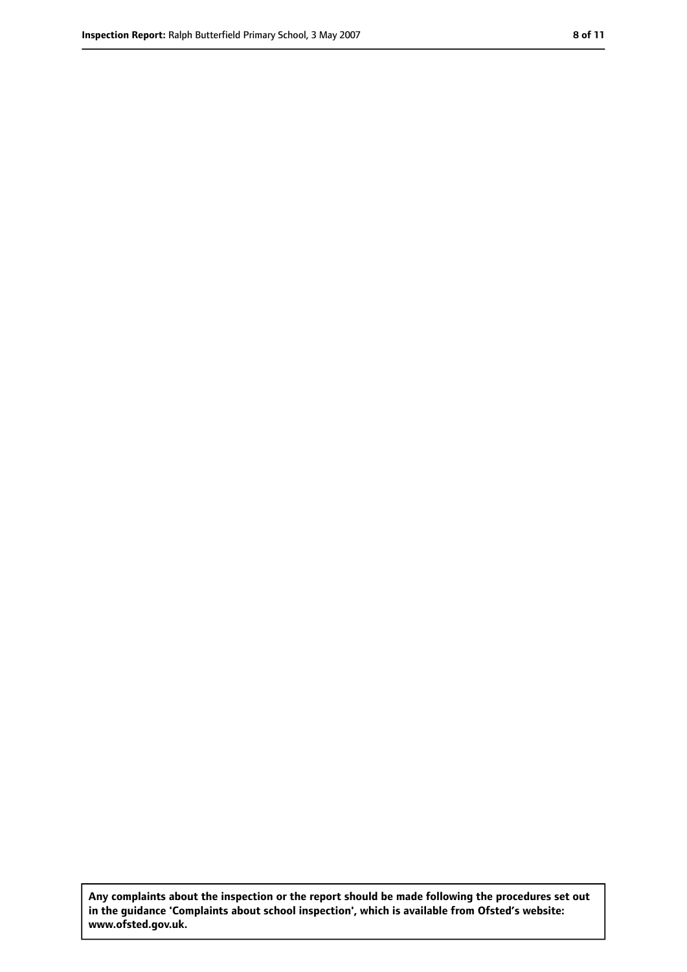**Any complaints about the inspection or the report should be made following the procedures set out in the guidance 'Complaints about school inspection', which is available from Ofsted's website: www.ofsted.gov.uk.**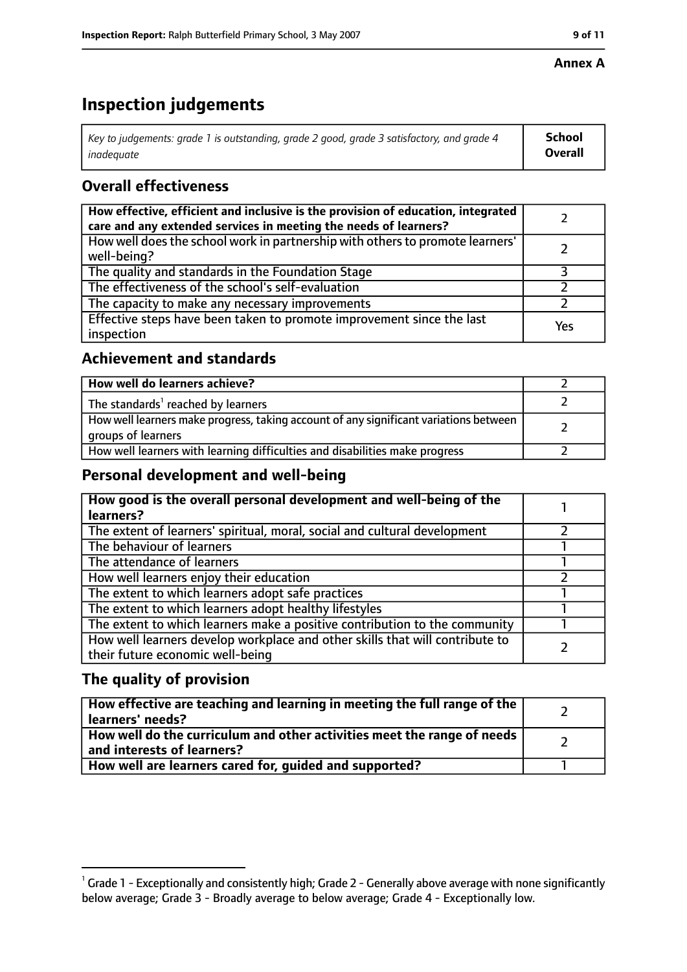#### **Annex A**

# **Inspection judgements**

| Key to judgements: grade 1 is outstanding, grade 2 good, grade 3 satisfactory, and grade 4 $\,$ | <b>School</b>  |
|-------------------------------------------------------------------------------------------------|----------------|
| inadequate                                                                                      | <b>Overall</b> |

# **Overall effectiveness**

| How effective, efficient and inclusive is the provision of education, integrated<br>care and any extended services in meeting the needs of learners? |     |
|------------------------------------------------------------------------------------------------------------------------------------------------------|-----|
| How well does the school work in partnership with others to promote learners'<br>well-being?                                                         |     |
| The quality and standards in the Foundation Stage                                                                                                    |     |
| The effectiveness of the school's self-evaluation                                                                                                    |     |
| The capacity to make any necessary improvements                                                                                                      |     |
| Effective steps have been taken to promote improvement since the last<br>inspection                                                                  | Yes |

## **Achievement and standards**

| How well do learners achieve?                                                                               |  |
|-------------------------------------------------------------------------------------------------------------|--|
| The standards <sup>1</sup> reached by learners                                                              |  |
| How well learners make progress, taking account of any significant variations between<br>groups of learners |  |
| How well learners with learning difficulties and disabilities make progress                                 |  |

## **Personal development and well-being**

| How good is the overall personal development and well-being of the<br>learners?                                  |  |
|------------------------------------------------------------------------------------------------------------------|--|
| The extent of learners' spiritual, moral, social and cultural development                                        |  |
| The behaviour of learners                                                                                        |  |
| The attendance of learners                                                                                       |  |
| How well learners enjoy their education                                                                          |  |
| The extent to which learners adopt safe practices                                                                |  |
| The extent to which learners adopt healthy lifestyles                                                            |  |
| The extent to which learners make a positive contribution to the community                                       |  |
| How well learners develop workplace and other skills that will contribute to<br>their future economic well-being |  |

# **The quality of provision**

| How effective are teaching and learning in meeting the full range of the<br>learners' needs?          |  |
|-------------------------------------------------------------------------------------------------------|--|
| How well do the curriculum and other activities meet the range of needs<br>and interests of learners? |  |
| How well are learners cared for, quided and supported?                                                |  |

 $^1$  Grade 1 - Exceptionally and consistently high; Grade 2 - Generally above average with none significantly below average; Grade 3 - Broadly average to below average; Grade 4 - Exceptionally low.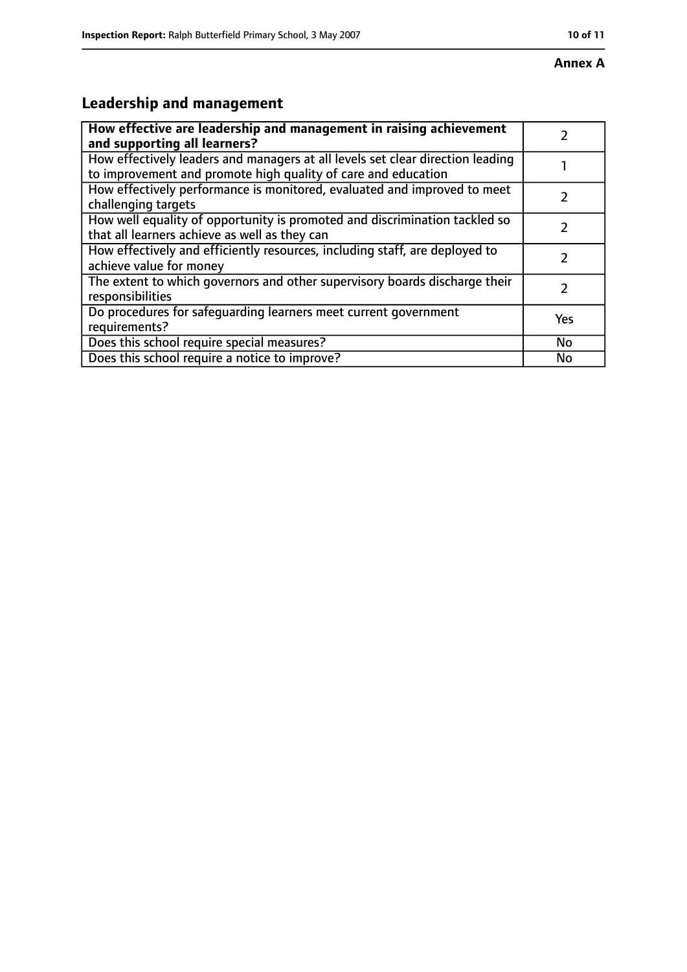# **Leadership and management**

| How effective are leadership and management in raising achievement<br>and supporting all learners?                                              |           |
|-------------------------------------------------------------------------------------------------------------------------------------------------|-----------|
| How effectively leaders and managers at all levels set clear direction leading<br>to improvement and promote high quality of care and education |           |
| How effectively performance is monitored, evaluated and improved to meet<br>challenging targets                                                 |           |
| How well equality of opportunity is promoted and discrimination tackled so<br>that all learners achieve as well as they can                     |           |
| How effectively and efficiently resources, including staff, are deployed to<br>achieve value for money                                          |           |
| The extent to which governors and other supervisory boards discharge their<br>responsibilities                                                  | 7         |
| Do procedures for safequarding learners meet current government<br>requirements?                                                                | Yes       |
| Does this school require special measures?                                                                                                      | <b>No</b> |
| Does this school require a notice to improve?                                                                                                   | No        |